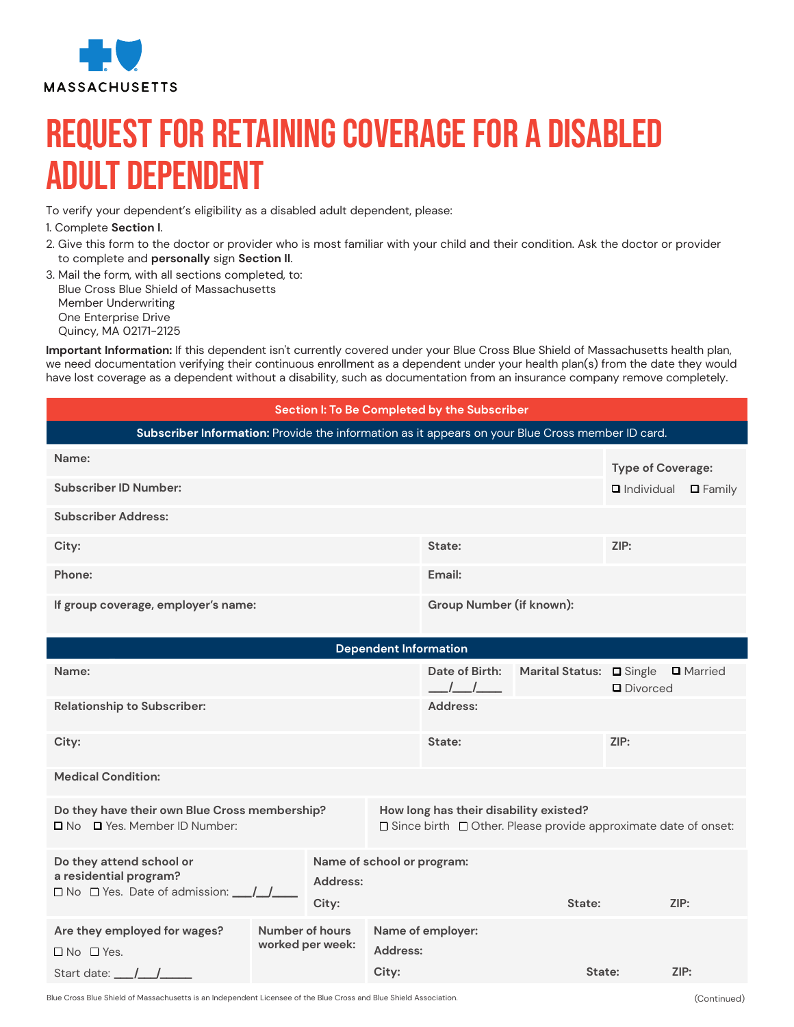

## Request for Retaining Coverage for a Disabled Adult Dependent

To verify your dependent's eligibility as a disabled adult dependent, please:

1. Complete **Section I**.

- 2. Give this form to the doctor or provider who is most familiar with your child and their condition. Ask the doctor or provider to complete and **personally** sign **Section II**.
- 3. Mail the form, with all sections completed, to: Blue Cross Blue Shield of Massachusetts Member Underwriting One Enterprise Drive Quincy, MA 02171-2125

**Important Information:** If this dependent isn't currently covered under your Blue Cross Blue Shield of Massachusetts health plan, we need documentation verifying their continuous enrollment as a dependent under your health plan(s) from the date they would have lost coverage as a dependent without a disability, such as documentation from an insurance company remove completely.

## **Section I: To Be Completed by the Subscriber**

| Name:                               |                          | <b>Type of Coverage:</b>            |
|-------------------------------------|--------------------------|-------------------------------------|
| <b>Subscriber ID Number:</b>        |                          | <b>Q</b> Individual <b>Q</b> Family |
| <b>Subscriber Address:</b>          |                          |                                     |
| City:                               | State:                   | ZIP:                                |
| Phone:                              | Email:                   |                                     |
| If group coverage, employer's name: | Group Number (if known): |                                     |

| <b>Dependent Information</b>                                                              |                 |                                                                                                                      |                            |                   |                          |            |                  |
|-------------------------------------------------------------------------------------------|-----------------|----------------------------------------------------------------------------------------------------------------------|----------------------------|-------------------|--------------------------|------------|------------------|
| Name:                                                                                     |                 |                                                                                                                      |                            | Date of Birth:    | Marital Status: D Single | D Divorced | <b>Q</b> Married |
| <b>Relationship to Subscriber:</b>                                                        |                 |                                                                                                                      |                            | Address:          |                          |            |                  |
| City:                                                                                     |                 |                                                                                                                      |                            | State:            |                          | ZIP:       |                  |
| <b>Medical Condition:</b>                                                                 |                 |                                                                                                                      |                            |                   |                          |            |                  |
| Do they have their own Blue Cross membership?<br>□ No □ Yes. Member ID Number:            |                 | How long has their disability existed?<br>$\Box$ Since birth $\Box$ Other. Please provide approximate date of onset: |                            |                   |                          |            |                  |
| Do they attend school or<br>a residential program?<br>□ No □ Yes. Date of admission: __/_ |                 | Address:<br>City:                                                                                                    | Name of school or program: |                   | State:                   |            | ZIP:             |
| Are they employed for wages?<br>$\Box$ No $\Box$ Yes.                                     | Number of hours | worked per week:                                                                                                     | Address:<br>City:          | Name of employer: | State:                   |            | ZIP:             |
| Start date: __/__/_                                                                       |                 |                                                                                                                      |                            |                   |                          |            |                  |